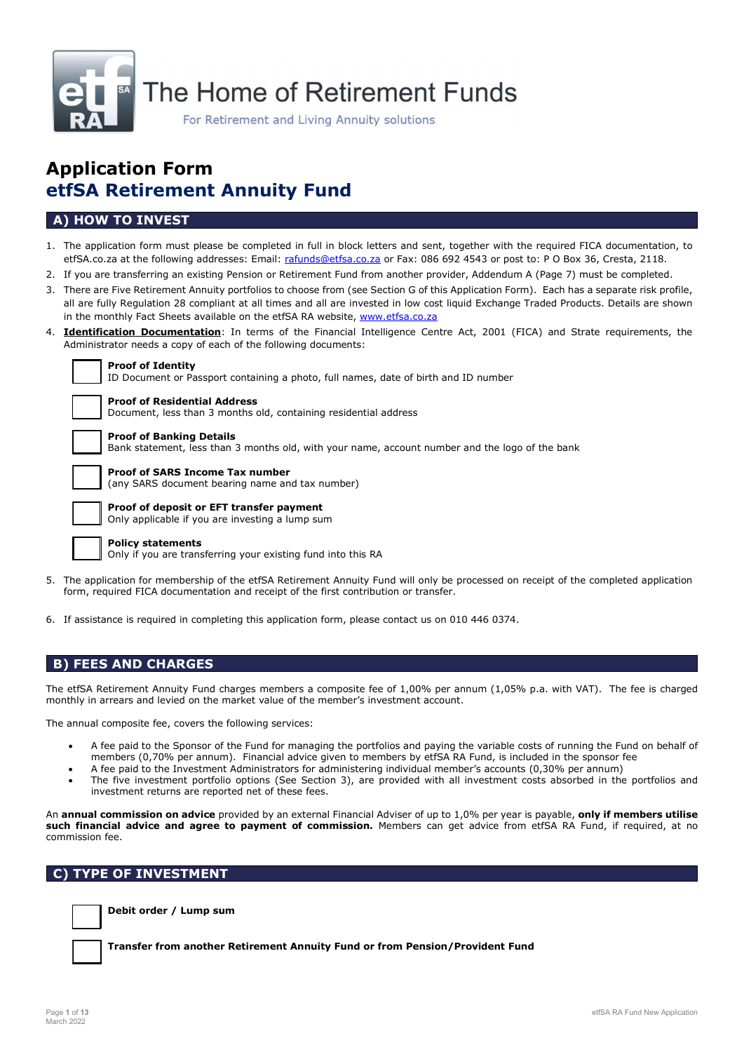

# Application Form etfSA Retirement Annuity Fund

# A) HOW TO INVEST

- 1. The application form must please be completed in full in block letters and sent, together with the required FICA documentation, to etfSA.co.za at the following addresses: Email: rafunds@etfsa.co.za or Fax: 086 692 4543 or post to: P O Box 36, Cresta, 2118.
- 2. If you are transferring an existing Pension or Retirement Fund from another provider, Addendum A (Page 7) must be completed.
- 3. There are Five Retirement Annuity portfolios to choose from (see Section G of this Application Form). Each has a separate risk profile, all are fully Regulation 28 compliant at all times and all are invested in low cost liquid Exchange Traded Products. Details are shown in the monthly Fact Sheets available on the etfSA RA website, www.etfsa.co.za
- 4. **Identification Documentation**: In terms of the Financial Intelligence Centre Act, 2001 (FICA) and Strate requirements, the Administrator needs a copy of each of the following documents:

| Proof of Identity |  |  |
|-------------------|--|--|

ID Document or Passport containing a photo, full names, date of birth and ID number

| ۳đ<br>μ<br>ı<br>Ω |
|-------------------|
|                   |

oof of Residential Address cument, less than 3 months old, containing residential address

### Proof of Banking Details

Bank statement, less than 3 months old, with your name, account number and the logo of the bank

### Proof of SARS Income Tax number

(any SARS document bearing name and tax number)

|  | _____ |  |
|--|-------|--|
|  |       |  |
|  |       |  |
|  |       |  |

#### Proof of deposit or EFT transfer payment Only applicable if you are investing a lump sum

Policy statements

Only if you are transferring your existing fund into this RA

- 5. The application for membership of the etfSA Retirement Annuity Fund will only be processed on receipt of the completed application form, required FICA documentation and receipt of the first contribution or transfer.
- 6. If assistance is required in completing this application form, please contact us on 010 446 0374.

# B) FEES AND CHARGES

The etfSA Retirement Annuity Fund charges members a composite fee of 1,00% per annum (1,05% p.a. with VAT). The fee is charged monthly in arrears and levied on the market value of the member's investment account.

The annual composite fee, covers the following services:

- A fee paid to the Sponsor of the Fund for managing the portfolios and paying the variable costs of running the Fund on behalf of members (0,70% per annum). Financial advice given to members by etfSA RA Fund, is included in the sponsor fee
- A fee paid to the Investment Administrators for administering individual member's accounts (0,30% per annum)
- The five investment portfolio options (See Section 3), are provided with all investment costs absorbed in the portfolios and investment returns are reported net of these fees.

An annual commission on advice provided by an external Financial Adviser of up to 1,0% per year is payable, only if members utilise such financial advice and agree to payment of commission. Members can get advice from etfSA RA Fund, if required, at no commission fee.

### C) TYPE OF INVESTMENT



Debit order / Lump sum

Transfer from another Retirement Annuity Fund or from Pension/Provident Fund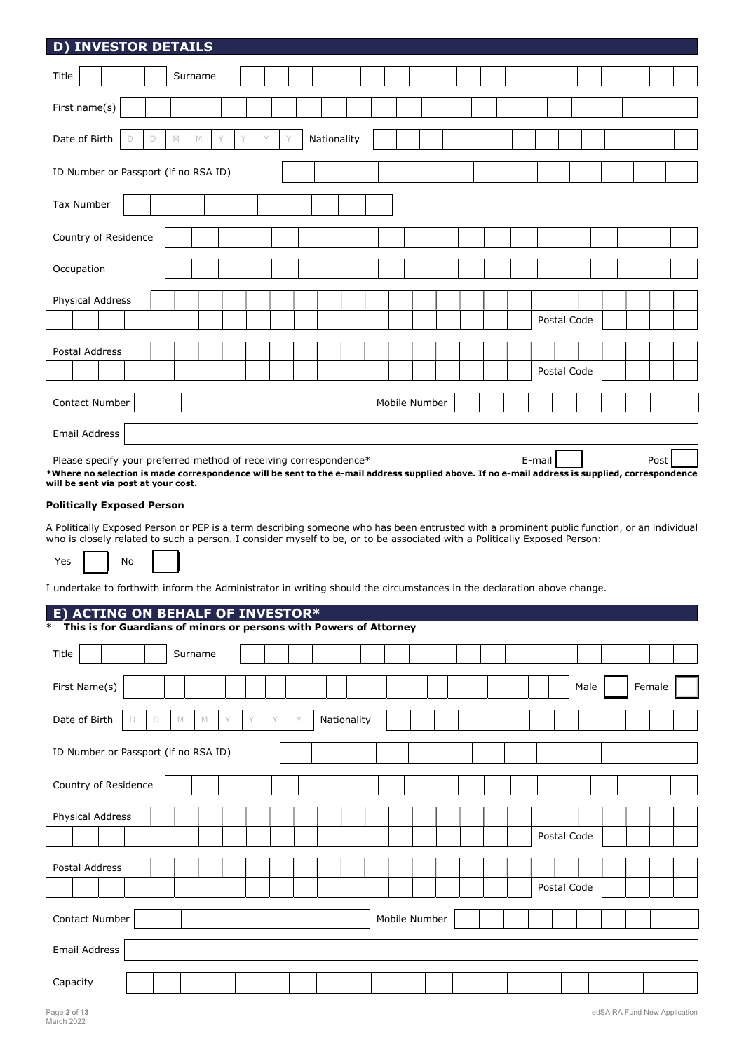| <b>D) INVESTOR DETAILS</b>                                                                                                                                                            |                             |   |        |   |             |               |  |             |      |        |  |
|---------------------------------------------------------------------------------------------------------------------------------------------------------------------------------------|-----------------------------|---|--------|---|-------------|---------------|--|-------------|------|--------|--|
| Title                                                                                                                                                                                 | Surname                     |   |        |   |             |               |  |             |      |        |  |
| First name(s)                                                                                                                                                                         |                             |   |        |   |             |               |  |             |      |        |  |
| Date of Birth<br>D<br>D                                                                                                                                                               | M<br>M                      |   |        |   | Nationality |               |  |             |      |        |  |
| ID Number or Passport (if no RSA ID)                                                                                                                                                  |                             |   |        |   |             |               |  |             |      |        |  |
| Tax Number                                                                                                                                                                            |                             |   |        |   |             |               |  |             |      |        |  |
| Country of Residence                                                                                                                                                                  |                             |   |        |   |             |               |  |             |      |        |  |
| Occupation                                                                                                                                                                            |                             |   |        |   |             |               |  |             |      |        |  |
| Physical Address                                                                                                                                                                      |                             |   |        |   |             |               |  |             |      |        |  |
|                                                                                                                                                                                       |                             |   |        |   |             |               |  | Postal Code |      |        |  |
|                                                                                                                                                                                       |                             |   |        |   |             |               |  |             |      |        |  |
| Postal Address                                                                                                                                                                        |                             |   |        |   |             |               |  | Postal Code |      |        |  |
|                                                                                                                                                                                       |                             |   |        |   |             |               |  |             |      |        |  |
| Contact Number                                                                                                                                                                        |                             |   |        |   |             | Mobile Number |  |             |      |        |  |
| Email Address                                                                                                                                                                         |                             |   |        |   |             |               |  |             |      |        |  |
| Please specify your preferred method of receiving correspondence*                                                                                                                     |                             |   |        |   |             |               |  | E-mail      |      | Post   |  |
| *Where no selection is made correspondence will be sent to the e-mail address supplied above. If no e-mail address is supplied, correspondence<br>will be sent via post at your cost. |                             |   |        |   |             |               |  |             |      |        |  |
| <b>Politically Exposed Person</b>                                                                                                                                                     |                             |   |        |   |             |               |  |             |      |        |  |
| A Politically Exposed Person or PEP is a term describing someone who has been entrusted with a prominent public function, or an individual                                            |                             |   |        |   |             |               |  |             |      |        |  |
| who is closely related to such a person. I consider myself to be, or to be associated with a Politically Exposed Person:                                                              |                             |   |        |   |             |               |  |             |      |        |  |
| No<br>Yes                                                                                                                                                                             |                             |   |        |   |             |               |  |             |      |        |  |
| I undertake to forthwith inform the Administrator in writing should the circumstances in the declaration above change.                                                                |                             |   |        |   |             |               |  |             |      |        |  |
| <b>ACTING ON BEHALF OF INVESTOR*</b><br>E)                                                                                                                                            |                             |   |        |   |             |               |  |             |      |        |  |
| This is for Guardians of minors or persons with Powers of Attorney                                                                                                                    |                             |   |        |   |             |               |  |             |      |        |  |
| Title                                                                                                                                                                                 | Surname                     |   |        |   |             |               |  |             |      |        |  |
| First Name(s)                                                                                                                                                                         |                             |   |        |   |             |               |  |             | Male | Female |  |
| Date of Birth<br>$\mathsf D$<br>D                                                                                                                                                     | $\mathbb{M}$<br>$\mathbb M$ | Y | Y<br>Y | Y | Nationality |               |  |             |      |        |  |
| ID Number or Passport (if no RSA ID)                                                                                                                                                  |                             |   |        |   |             |               |  |             |      |        |  |
|                                                                                                                                                                                       |                             |   |        |   |             |               |  |             |      |        |  |
| Country of Residence                                                                                                                                                                  |                             |   |        |   |             |               |  |             |      |        |  |
| Physical Address                                                                                                                                                                      |                             |   |        |   |             |               |  |             |      |        |  |
|                                                                                                                                                                                       |                             |   |        |   |             |               |  | Postal Code |      |        |  |
|                                                                                                                                                                                       |                             |   |        |   |             |               |  |             |      |        |  |
| Postal Address                                                                                                                                                                        |                             |   |        |   |             |               |  | Postal Code |      |        |  |
|                                                                                                                                                                                       |                             |   |        |   |             |               |  |             |      |        |  |
| Contact Number                                                                                                                                                                        |                             |   |        |   |             | Mobile Number |  |             |      |        |  |
| Email Address                                                                                                                                                                         |                             |   |        |   |             |               |  |             |      |        |  |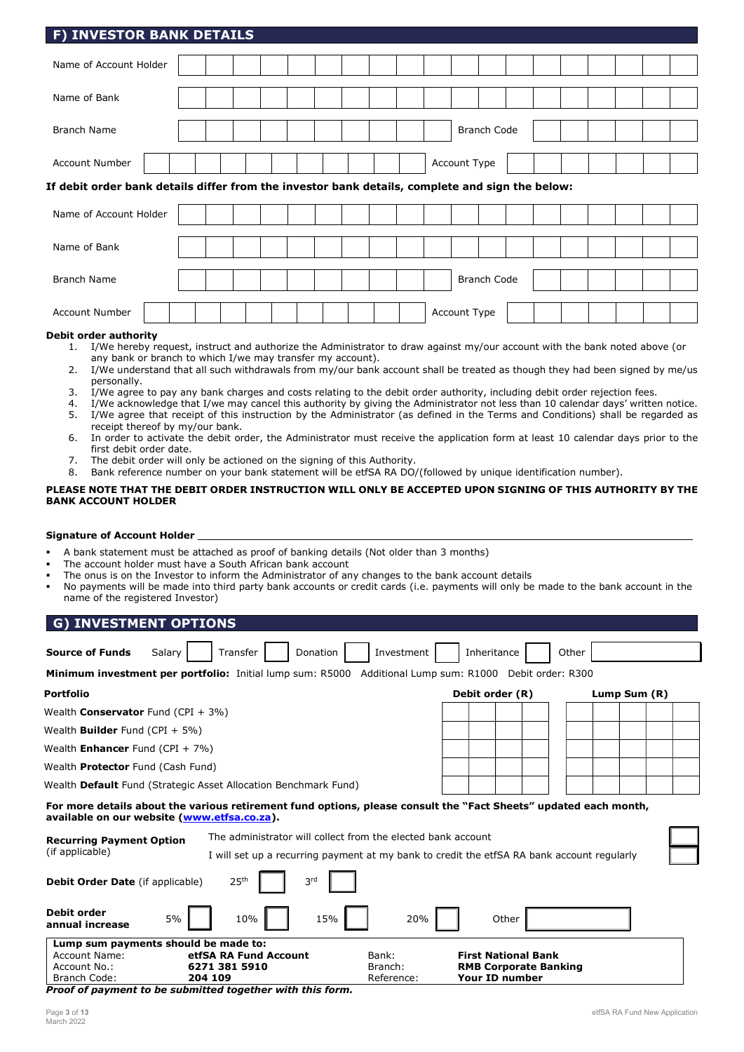| I J INVESTOR DAINR DETAILS                                                                      |  |  |  |  |  |              |                    |  |  |  |  |
|-------------------------------------------------------------------------------------------------|--|--|--|--|--|--------------|--------------------|--|--|--|--|
| Name of Account Holder                                                                          |  |  |  |  |  |              |                    |  |  |  |  |
| Name of Bank                                                                                    |  |  |  |  |  |              |                    |  |  |  |  |
| <b>Branch Name</b>                                                                              |  |  |  |  |  |              | <b>Branch Code</b> |  |  |  |  |
| <b>Account Number</b>                                                                           |  |  |  |  |  | Account Type |                    |  |  |  |  |
| If debit order bank details differ from the investor bank details, complete and sign the below: |  |  |  |  |  |              |                    |  |  |  |  |
| Name of Account Holder                                                                          |  |  |  |  |  |              |                    |  |  |  |  |
| Name of Bank                                                                                    |  |  |  |  |  |              |                    |  |  |  |  |
| <b>Branch Name</b>                                                                              |  |  |  |  |  |              | <b>Branch Code</b> |  |  |  |  |
| <b>Account Number</b>                                                                           |  |  |  |  |  | Account Type |                    |  |  |  |  |
| ويتقادمهما بالمراجع ويتماسح والمتالية والمنافذ                                                  |  |  |  |  |  |              |                    |  |  |  |  |

### Debit order authority

- 1. I/We hereby request, instruct and authorize the Administrator to draw against my/our account with the bank noted above (or any bank or branch to which I/we may transfer my account).
- 2. I/We understand that all such withdrawals from my/our bank account shall be treated as though they had been signed by me/us personally.
- 3. I/We agree to pay any bank charges and costs relating to the debit order authority, including debit order rejection fees.<br>4. I/We acknowledge that I/we may cancel this authority by giving the Administrator not less than
- I/We acknowledge that I/we may cancel this authority by giving the Administrator not less than 10 calendar days' written notice. 5. I/We agree that receipt of this instruction by the Administrator (as defined in the Terms and Conditions) shall be regarded as
- receipt thereof by my/our bank. 6. In order to activate the debit order, the Administrator must receive the application form at least 10 calendar days prior to the first debit order date.
- 7. The debit order will only be actioned on the signing of this Authority.
- 8. Bank reference number on your bank statement will be etfSA RA DO/(followed by unique identification number).

### PLEASE NOTE THAT THE DEBIT ORDER INSTRUCTION WILL ONLY BE ACCEPTED UPON SIGNING OF THIS AUTHORITY BY THE BANK ACCOUNT HOLDER

### Signature of Account Holder

- A bank statement must be attached as proof of banking details (Not older than 3 months)
- The account holder must have a South African bank account
- The onus is on the Investor to inform the Administrator of any changes to the bank account details
- No payments will be made into third party bank accounts or credit cards (i.e. payments will only be made to the bank account in the name of the registered Investor)

| <b>G) INVESTMENT OPTIONS</b>                       |                                                                                                                                                            |                  |                                                            |              |
|----------------------------------------------------|------------------------------------------------------------------------------------------------------------------------------------------------------------|------------------|------------------------------------------------------------|--------------|
|                                                    |                                                                                                                                                            |                  |                                                            |              |
| <b>Source of Funds</b><br>Salary                   | Transfer<br>Donation                                                                                                                                       | Investment       | Inheritance<br>Other                                       |              |
|                                                    | <b>Minimum investment per portfolio:</b> Initial lump sum: R5000 Additional Lump sum: R1000 Debit order: R300                                              |                  |                                                            |              |
| <b>Portfolio</b>                                   |                                                                                                                                                            |                  | Debit order (R)                                            | Lump Sum (R) |
| Wealth <b>Conservator</b> Fund $(CPI + 3\%)$       |                                                                                                                                                            |                  |                                                            |              |
| Wealth <b>Builder</b> Fund (CPI + 5%)              |                                                                                                                                                            |                  |                                                            |              |
| Wealth Enhancer Fund (CPI + 7%)                    |                                                                                                                                                            |                  |                                                            |              |
| Wealth <b>Protector</b> Fund (Cash Fund)           |                                                                                                                                                            |                  |                                                            |              |
|                                                    | Wealth Default Fund (Strategic Asset Allocation Benchmark Fund)                                                                                            |                  |                                                            |              |
| available on our website (www.etfsa.co.za).        | For more details about the various retirement fund options, please consult the "Fact Sheets" updated each month,                                           |                  |                                                            |              |
| <b>Recurring Payment Option</b><br>(if applicable) | The administrator will collect from the elected bank account<br>I will set up a recurring payment at my bank to credit the etfSA RA bank account regularly |                  |                                                            |              |
| Debit Order Date (if applicable)                   | 25 <sup>th</sup><br>3rd                                                                                                                                    |                  |                                                            |              |
| <b>Debit order</b><br>5%<br>annual increase        | 10%<br>15%                                                                                                                                                 | 20%              | Other                                                      |              |
| Lump sum payments should be made to:               |                                                                                                                                                            |                  |                                                            |              |
| <b>Account Name:</b><br>Account No.:               | etfSA RA Fund Account<br>6271 381 5910                                                                                                                     | Bank:<br>Branch: | <b>First National Bank</b><br><b>RMB Corporate Banking</b> |              |
| Branch Code:                                       | 204 109                                                                                                                                                    | Reference:       | <b>Your ID number</b>                                      |              |

Proof of payment to be submitted together with this form.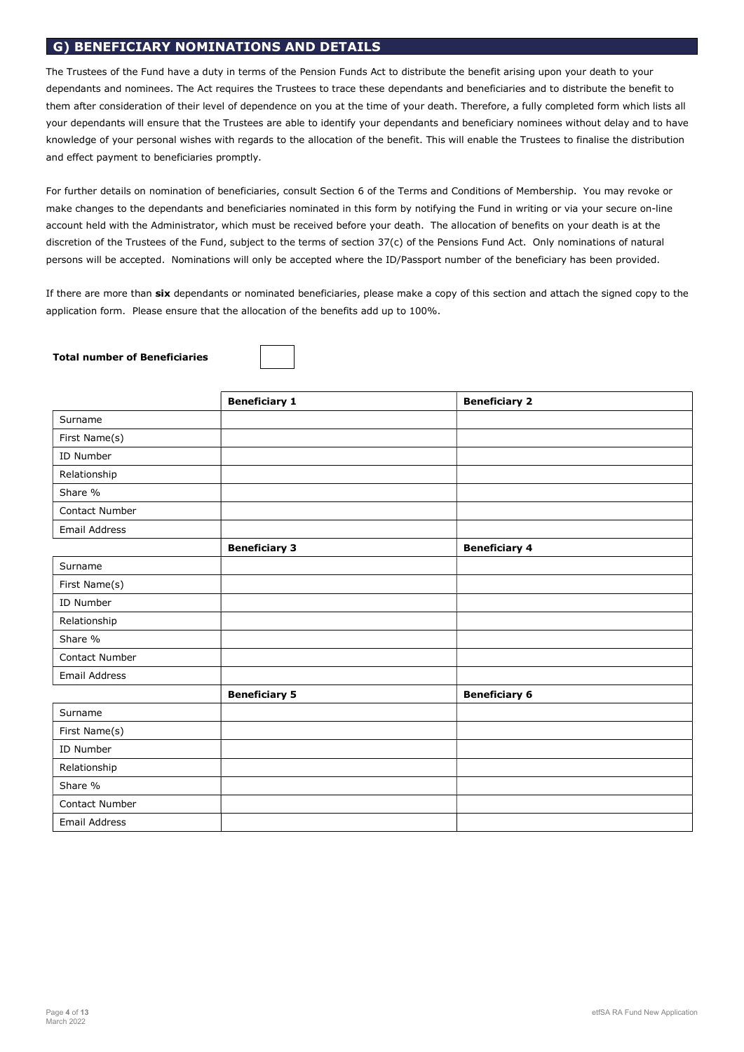# G) BENEFICIARY NOMINATIONS AND DETAILS

The Trustees of the Fund have a duty in terms of the Pension Funds Act to distribute the benefit arising upon your death to your dependants and nominees. The Act requires the Trustees to trace these dependants and beneficiaries and to distribute the benefit to them after consideration of their level of dependence on you at the time of your death. Therefore, a fully completed form which lists all your dependants will ensure that the Trustees are able to identify your dependants and beneficiary nominees without delay and to have knowledge of your personal wishes with regards to the allocation of the benefit. This will enable the Trustees to finalise the distribution and effect payment to beneficiaries promptly.

For further details on nomination of beneficiaries, consult Section 6 of the Terms and Conditions of Membership. You may revoke or make changes to the dependants and beneficiaries nominated in this form by notifying the Fund in writing or via your secure on-line account held with the Administrator, which must be received before your death. The allocation of benefits on your death is at the discretion of the Trustees of the Fund, subject to the terms of section 37(c) of the Pensions Fund Act. Only nominations of natural persons will be accepted. Nominations will only be accepted where the ID/Passport number of the beneficiary has been provided.

If there are more than six dependants or nominated beneficiaries, please make a copy of this section and attach the signed copy to the application form. Please ensure that the allocation of the benefits add up to 100%.

### Total number of Beneficiaries

|                      | <b>Beneficiary 1</b> | <b>Beneficiary 2</b> |
|----------------------|----------------------|----------------------|
| Surname              |                      |                      |
| First Name(s)        |                      |                      |
| ID Number            |                      |                      |
| Relationship         |                      |                      |
| Share %              |                      |                      |
| Contact Number       |                      |                      |
| <b>Email Address</b> |                      |                      |
|                      | <b>Beneficiary 3</b> | <b>Beneficiary 4</b> |
| Surname              |                      |                      |
| First Name(s)        |                      |                      |
| ID Number            |                      |                      |
| Relationship         |                      |                      |
| Share %              |                      |                      |
| Contact Number       |                      |                      |
| <b>Email Address</b> |                      |                      |
|                      | <b>Beneficiary 5</b> | <b>Beneficiary 6</b> |
| Surname              |                      |                      |
| First Name(s)        |                      |                      |
| ID Number            |                      |                      |
| Relationship         |                      |                      |
| Share %              |                      |                      |
| Contact Number       |                      |                      |
| Email Address        |                      |                      |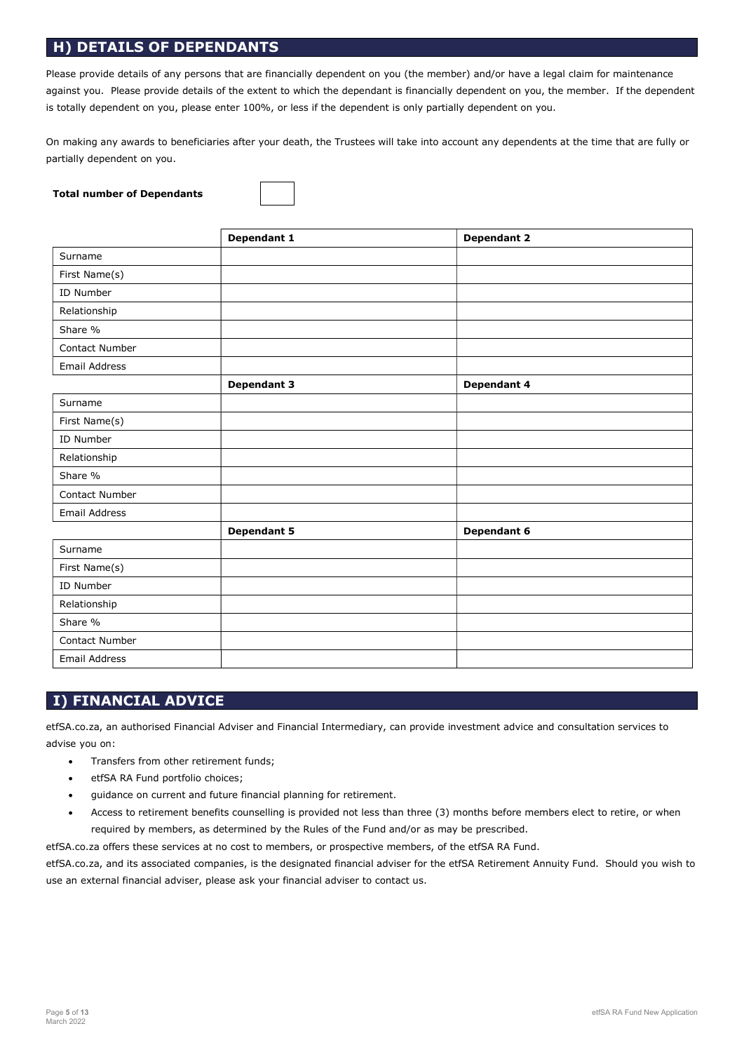# H) DETAILS OF DEPENDANTS

Please provide details of any persons that are financially dependent on you (the member) and/or have a legal claim for maintenance against you. Please provide details of the extent to which the dependant is financially dependent on you, the member. If the dependent is totally dependent on you, please enter 100%, or less if the dependent is only partially dependent on you.

On making any awards to beneficiaries after your death, the Trustees will take into account any dependents at the time that are fully or partially dependent on you.

### Total number of Dependants

|                      | Dependant 1        | <b>Dependant 2</b> |
|----------------------|--------------------|--------------------|
| Surname              |                    |                    |
| First Name(s)        |                    |                    |
| ID Number            |                    |                    |
| Relationship         |                    |                    |
| Share %              |                    |                    |
| Contact Number       |                    |                    |
| <b>Email Address</b> |                    |                    |
|                      | <b>Dependant 3</b> | Dependant 4        |
| Surname              |                    |                    |
| First Name(s)        |                    |                    |
| ID Number            |                    |                    |
| Relationship         |                    |                    |
| Share %              |                    |                    |
| Contact Number       |                    |                    |
| <b>Email Address</b> |                    |                    |
|                      | <b>Dependant 5</b> | Dependant 6        |
| Surname              |                    |                    |
| First Name(s)        |                    |                    |
| ID Number            |                    |                    |
| Relationship         |                    |                    |
| Share %              |                    |                    |
| Contact Number       |                    |                    |
| <b>Email Address</b> |                    |                    |

# I) FINANCIAL ADVICE

etfSA.co.za, an authorised Financial Adviser and Financial Intermediary, can provide investment advice and consultation services to advise you on:

- Transfers from other retirement funds;
- etfSA RA Fund portfolio choices;
- guidance on current and future financial planning for retirement.
- Access to retirement benefits counselling is provided not less than three (3) months before members elect to retire, or when required by members, as determined by the Rules of the Fund and/or as may be prescribed.

etfSA.co.za offers these services at no cost to members, or prospective members, of the etfSA RA Fund.

etfSA.co.za, and its associated companies, is the designated financial adviser for the etfSA Retirement Annuity Fund. Should you wish to use an external financial adviser, please ask your financial adviser to contact us.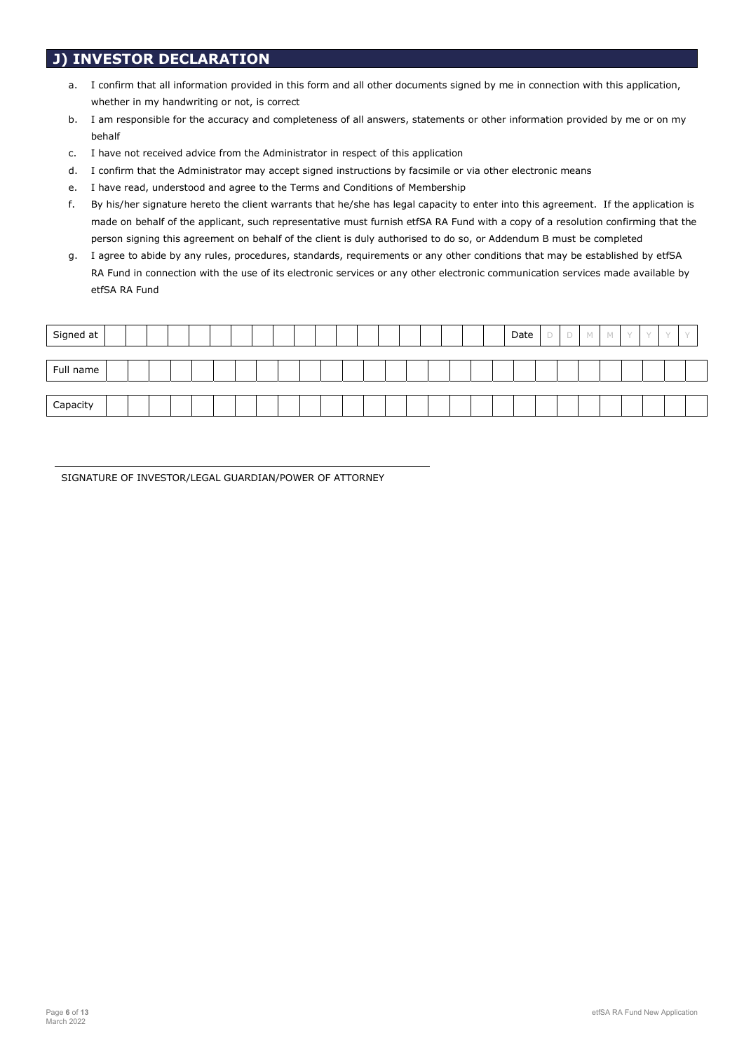# J) INVESTOR DECLARATION

- a. I confirm that all information provided in this form and all other documents signed by me in connection with this application, whether in my handwriting or not, is correct
- b. I am responsible for the accuracy and completeness of all answers, statements or other information provided by me or on my behalf
- c. I have not received advice from the Administrator in respect of this application
- d. I confirm that the Administrator may accept signed instructions by facsimile or via other electronic means
- e. I have read, understood and agree to the Terms and Conditions of Membership
- f. By his/her signature hereto the client warrants that he/she has legal capacity to enter into this agreement. If the application is made on behalf of the applicant, such representative must furnish etfSA RA Fund with a copy of a resolution confirming that the person signing this agreement on behalf of the client is duly authorised to do so, or Addendum B must be completed
- g. I agree to abide by any rules, procedures, standards, requirements or any other conditions that may be established by etfSA RA Fund in connection with the use of its electronic services or any other electronic communication services made available by etfSA RA Fund

| Signed at |  |  |  |  |  |  |  |  |  |  | Date | <b>COLL</b><br>⊃ |  | $\sqrt{2}$ |  |  |
|-----------|--|--|--|--|--|--|--|--|--|--|------|------------------|--|------------|--|--|
|           |  |  |  |  |  |  |  |  |  |  |      |                  |  |            |  |  |
| Full name |  |  |  |  |  |  |  |  |  |  |      |                  |  |            |  |  |
|           |  |  |  |  |  |  |  |  |  |  |      |                  |  |            |  |  |
| Capacity  |  |  |  |  |  |  |  |  |  |  |      |                  |  |            |  |  |

SIGNATURE OF INVESTOR/LEGAL GUARDIAN/POWER OF ATTORNEY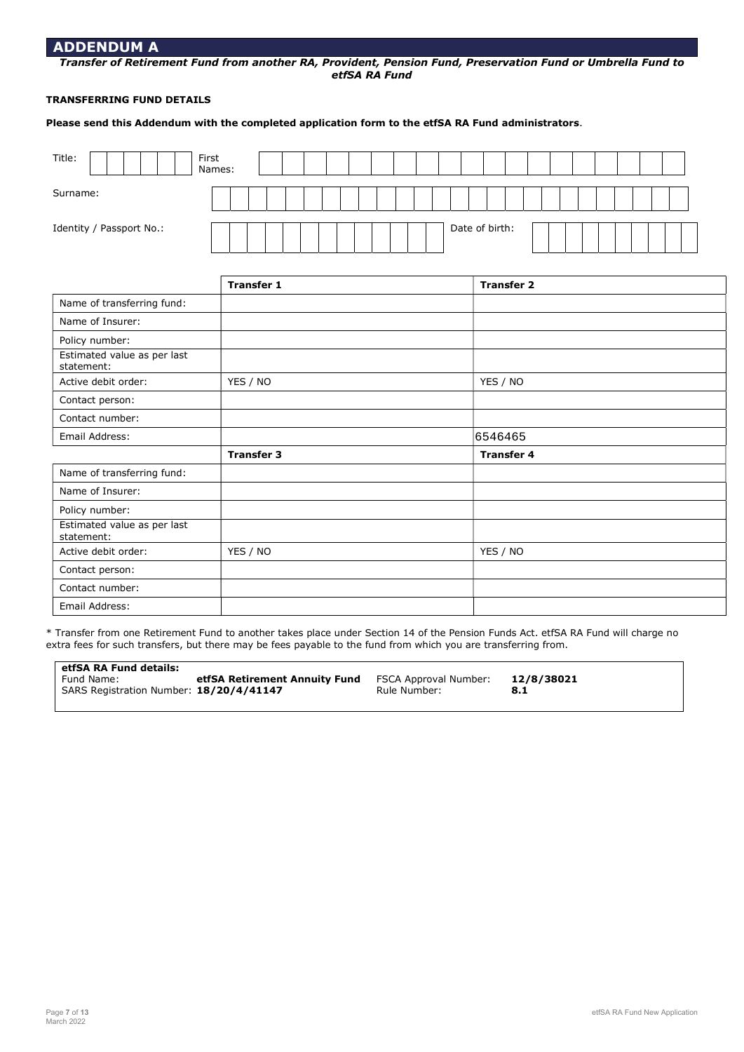### ADDENDUM A

Transfer of Retirement Fund from another RA, Provident, Pension Fund, Preservation Fund or Umbrella Fund to etfSA RA Fund

### TRANSFERRING FUND DETAILS

Please send this Addendum with the completed application form to the etfSA RA Fund administrators.

| Title:                   | First<br>Names: |  |  |  |                |  |  |  |  |  |
|--------------------------|-----------------|--|--|--|----------------|--|--|--|--|--|
| Surname:                 |                 |  |  |  |                |  |  |  |  |  |
| Identity / Passport No.: |                 |  |  |  | Date of birth: |  |  |  |  |  |

|                                           | <b>Transfer 1</b> | <b>Transfer 2</b> |  |
|-------------------------------------------|-------------------|-------------------|--|
| Name of transferring fund:                |                   |                   |  |
| Name of Insurer:                          |                   |                   |  |
| Policy number:                            |                   |                   |  |
| Estimated value as per last<br>statement: |                   |                   |  |
| Active debit order:                       | YES / NO          | YES / NO          |  |
| Contact person:                           |                   |                   |  |
| Contact number:                           |                   |                   |  |
| Email Address:                            |                   | 6546465           |  |
|                                           | <b>Transfer 3</b> | <b>Transfer 4</b> |  |
| Name of transferring fund:                |                   |                   |  |
| Name of Insurer:                          |                   |                   |  |
| Policy number:                            |                   |                   |  |
| Estimated value as per last<br>statement: |                   |                   |  |
| Active debit order:                       | YES / NO          | YES / NO          |  |
| Contact person:                           |                   |                   |  |
| Contact number:                           |                   |                   |  |
| Email Address:                            |                   |                   |  |

\* Transfer from one Retirement Fund to another takes place under Section 14 of the Pension Funds Act. etfSA RA Fund will charge no extra fees for such transfers, but there may be fees payable to the fund from which you are transferring from.

| etfSA RA Fund details:                  |                               |                       |            |  |
|-----------------------------------------|-------------------------------|-----------------------|------------|--|
| Fund Name:                              | etfSA Retirement Annuity Fund | FSCA Approval Number: | 12/8/38021 |  |
| SARS Registration Number: 18/20/4/41147 |                               | Rule Number:          | 8.1        |  |
|                                         |                               |                       |            |  |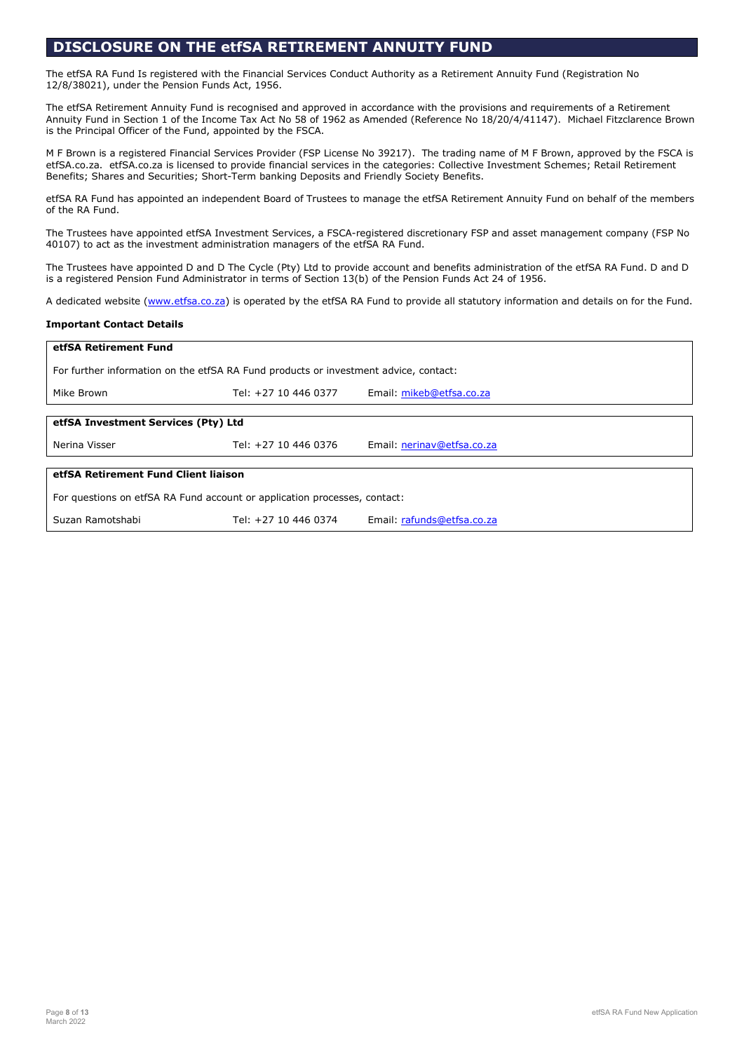# DISCLOSURE ON THE etfSA RETIREMENT ANNUITY FUND

The etfSA RA Fund Is registered with the Financial Services Conduct Authority as a Retirement Annuity Fund (Registration No 12/8/38021), under the Pension Funds Act, 1956.

The etfSA Retirement Annuity Fund is recognised and approved in accordance with the provisions and requirements of a Retirement Annuity Fund in Section 1 of the Income Tax Act No 58 of 1962 as Amended (Reference No 18/20/4/41147). Michael Fitzclarence Brown is the Principal Officer of the Fund, appointed by the FSCA.

M F Brown is a registered Financial Services Provider (FSP License No 39217). The trading name of M F Brown, approved by the FSCA is etfSA.co.za. etfSA.co.za is licensed to provide financial services in the categories: Collective Investment Schemes; Retail Retirement Benefits; Shares and Securities; Short-Term banking Deposits and Friendly Society Benefits.

etfSA RA Fund has appointed an independent Board of Trustees to manage the etfSA Retirement Annuity Fund on behalf of the members of the RA Fund.

The Trustees have appointed etfSA Investment Services, a FSCA-registered discretionary FSP and asset management company (FSP No 40107) to act as the investment administration managers of the etfSA RA Fund.

The Trustees have appointed D and D The Cycle (Pty) Ltd to provide account and benefits administration of the etfSA RA Fund. D and D is a registered Pension Fund Administrator in terms of Section 13(b) of the Pension Funds Act 24 of 1956.

A dedicated website (www.etfsa.co.za) is operated by the etfSA RA Fund to provide all statutory information and details on for the Fund.

### Important Contact Details

| etfSA Retirement Fund                                                                |                      |                            |  |  |
|--------------------------------------------------------------------------------------|----------------------|----------------------------|--|--|
| For further information on the etfSA RA Fund products or investment advice, contact: |                      |                            |  |  |
| Mike Brown                                                                           | Tel: +27 10 446 0377 | Email: mikeb@etfsa.co.za   |  |  |
|                                                                                      |                      |                            |  |  |
| etfSA Investment Services (Pty) Ltd                                                  |                      |                            |  |  |
| Nerina Visser                                                                        | Tel: +27 10 446 0376 | Email: nerinav@etfsa.co.za |  |  |
|                                                                                      |                      |                            |  |  |
| etfSA Retirement Fund Client liaison                                                 |                      |                            |  |  |
| For questions on etfSA RA Fund account or application processes, contact:            |                      |                            |  |  |
| Suzan Ramotshabi                                                                     | Tel: +27 10 446 0374 | Email: rafunds@etfsa.co.za |  |  |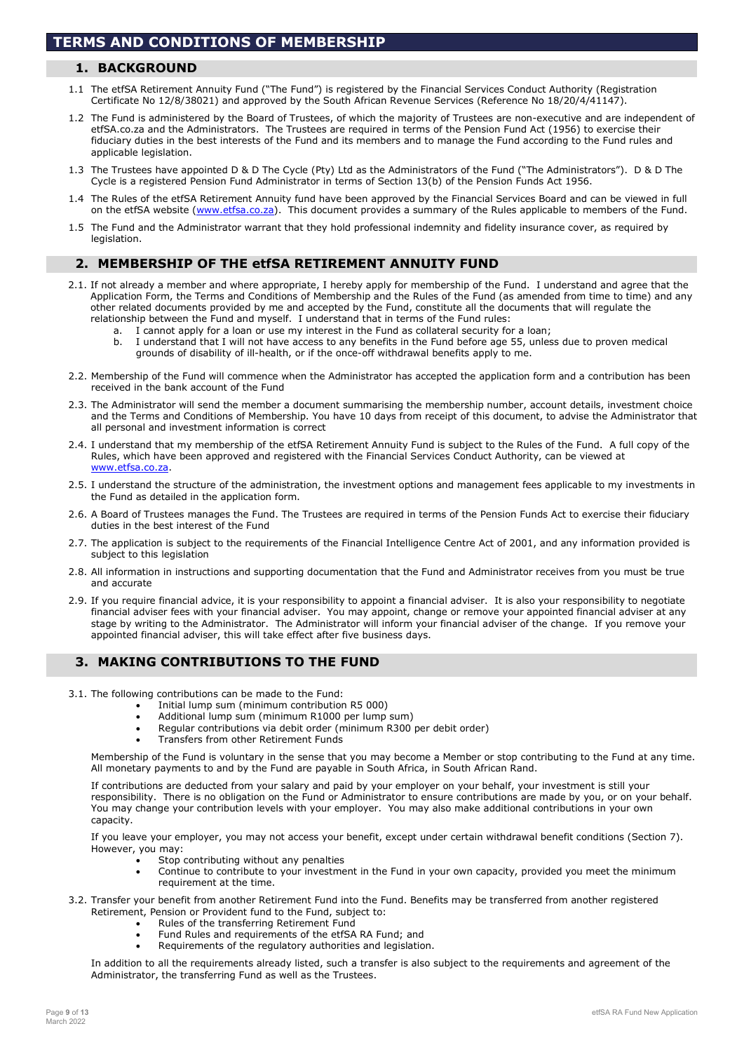## 1. BACKGROUND

- 1.1 The etfSA Retirement Annuity Fund ("The Fund") is registered by the Financial Services Conduct Authority (Registration Certificate No 12/8/38021) and approved by the South African Revenue Services (Reference No 18/20/4/41147).
- 1.2 The Fund is administered by the Board of Trustees, of which the majority of Trustees are non-executive and are independent of etfSA.co.za and the Administrators. The Trustees are required in terms of the Pension Fund Act (1956) to exercise their fiduciary duties in the best interests of the Fund and its members and to manage the Fund according to the Fund rules and applicable legislation.
- 1.3 The Trustees have appointed D & D The Cycle (Pty) Ltd as the Administrators of the Fund ("The Administrators"). D & D The Cycle is a registered Pension Fund Administrator in terms of Section 13(b) of the Pension Funds Act 1956.
- 1.4 The Rules of the etfSA Retirement Annuity fund have been approved by the Financial Services Board and can be viewed in full on the etfSA website (www.etfsa.co.za). This document provides a summary of the Rules applicable to members of the Fund.
- 1.5 The Fund and the Administrator warrant that they hold professional indemnity and fidelity insurance cover, as required by legislation.

### 2. MEMBERSHIP OF THE etfSA RETIREMENT ANNUITY FUND

- 2.1. If not already a member and where appropriate, I hereby apply for membership of the Fund. I understand and agree that the Application Form, the Terms and Conditions of Membership and the Rules of the Fund (as amended from time to time) and any other related documents provided by me and accepted by the Fund, constitute all the documents that will regulate the relationship between the Fund and myself. I understand that in terms of the Fund rules:
	- a. I cannot apply for a loan or use my interest in the Fund as collateral security for a loan;
	- b. I understand that I will not have access to any benefits in the Fund before age 55, unless due to proven medical grounds of disability of ill-health, or if the once-off withdrawal benefits apply to me.
- 2.2. Membership of the Fund will commence when the Administrator has accepted the application form and a contribution has been received in the bank account of the Fund
- 2.3. The Administrator will send the member a document summarising the membership number, account details, investment choice and the Terms and Conditions of Membership. You have 10 days from receipt of this document, to advise the Administrator that all personal and investment information is correct
- 2.4. I understand that my membership of the etfSA Retirement Annuity Fund is subject to the Rules of the Fund. A full copy of the Rules, which have been approved and registered with the Financial Services Conduct Authority, can be viewed at www.etfsa.co.za.
- 2.5. I understand the structure of the administration, the investment options and management fees applicable to my investments in the Fund as detailed in the application form.
- 2.6. A Board of Trustees manages the Fund. The Trustees are required in terms of the Pension Funds Act to exercise their fiduciary duties in the best interest of the Fund
- 2.7. The application is subject to the requirements of the Financial Intelligence Centre Act of 2001, and any information provided is subject to this legislation
- 2.8. All information in instructions and supporting documentation that the Fund and Administrator receives from you must be true and accurate
- 2.9. If you require financial advice, it is your responsibility to appoint a financial adviser. It is also your responsibility to negotiate financial adviser fees with your financial adviser. You may appoint, change or remove your appointed financial adviser at any stage by writing to the Administrator. The Administrator will inform your financial adviser of the change. If you remove your appointed financial adviser, this will take effect after five business days.

### 3. MAKING CONTRIBUTIONS TO THE FUND

- 3.1. The following contributions can be made to the Fund:
	- Initial lump sum (minimum contribution R5 000)
	- Additional lump sum (minimum R1000 per lump sum)
	- Regular contributions via debit order (minimum R300 per debit order)
	- Transfers from other Retirement Funds

Membership of the Fund is voluntary in the sense that you may become a Member or stop contributing to the Fund at any time. All monetary payments to and by the Fund are payable in South Africa, in South African Rand.

If contributions are deducted from your salary and paid by your employer on your behalf, your investment is still your responsibility. There is no obligation on the Fund or Administrator to ensure contributions are made by you, or on your behalf. You may change your contribution levels with your employer. You may also make additional contributions in your own capacity.

If you leave your employer, you may not access your benefit, except under certain withdrawal benefit conditions (Section 7). However, you may:

- Stop contributing without any penalties
- Continue to contribute to your investment in the Fund in your own capacity, provided you meet the minimum requirement at the time.
- 3.2. Transfer your benefit from another Retirement Fund into the Fund. Benefits may be transferred from another registered Retirement, Pension or Provident fund to the Fund, subject to:
	- Rules of the transferring Retirement Fund
	- Fund Rules and requirements of the etfSA RA Fund; and
	- Requirements of the regulatory authorities and legislation.

In addition to all the requirements already listed, such a transfer is also subject to the requirements and agreement of the Administrator, the transferring Fund as well as the Trustees.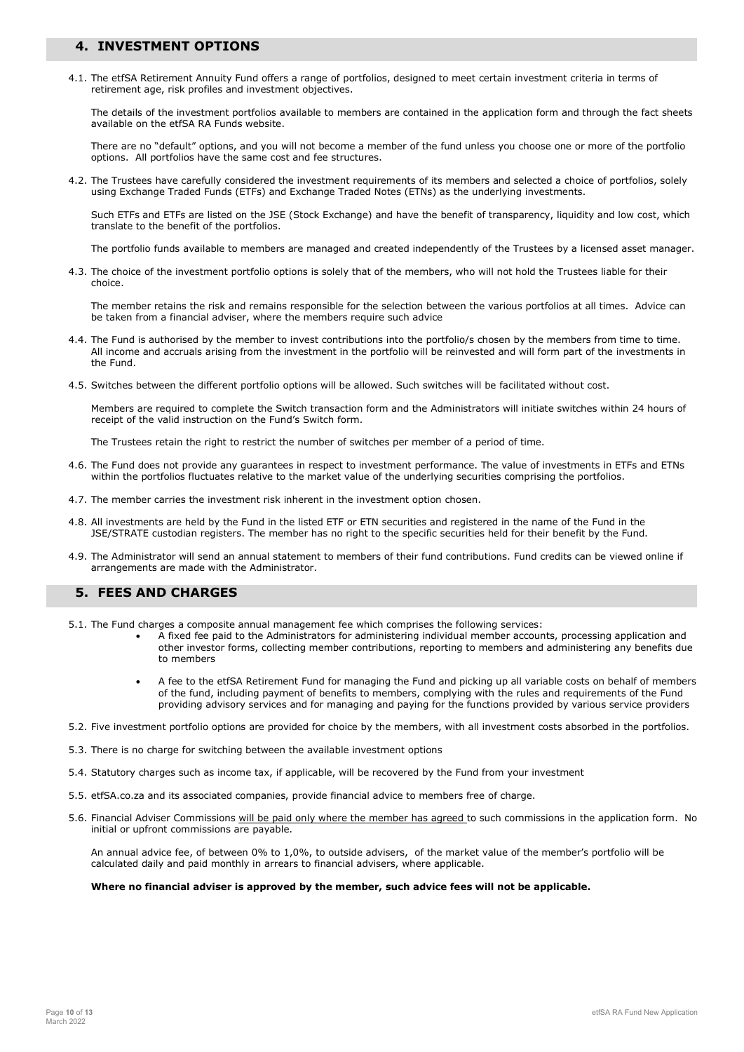### 4. INVESTMENT OPTIONS

4.1. The etfSA Retirement Annuity Fund offers a range of portfolios, designed to meet certain investment criteria in terms of retirement age, risk profiles and investment objectives.

The details of the investment portfolios available to members are contained in the application form and through the fact sheets available on the etfSA RA Funds website.

There are no "default" options, and you will not become a member of the fund unless you choose one or more of the portfolio options. All portfolios have the same cost and fee structures.

4.2. The Trustees have carefully considered the investment requirements of its members and selected a choice of portfolios, solely using Exchange Traded Funds (ETFs) and Exchange Traded Notes (ETNs) as the underlying investments.

Such ETFs and ETFs are listed on the JSE (Stock Exchange) and have the benefit of transparency, liquidity and low cost, which translate to the benefit of the portfolios.

The portfolio funds available to members are managed and created independently of the Trustees by a licensed asset manager.

4.3. The choice of the investment portfolio options is solely that of the members, who will not hold the Trustees liable for their choice.

The member retains the risk and remains responsible for the selection between the various portfolios at all times. Advice can be taken from a financial adviser, where the members require such advice

- 4.4. The Fund is authorised by the member to invest contributions into the portfolio/s chosen by the members from time to time. All income and accruals arising from the investment in the portfolio will be reinvested and will form part of the investments in the Fund.
- 4.5. Switches between the different portfolio options will be allowed. Such switches will be facilitated without cost.

Members are required to complete the Switch transaction form and the Administrators will initiate switches within 24 hours of receipt of the valid instruction on the Fund's Switch form.

The Trustees retain the right to restrict the number of switches per member of a period of time.

- 4.6. The Fund does not provide any guarantees in respect to investment performance. The value of investments in ETFs and ETNs within the portfolios fluctuates relative to the market value of the underlying securities comprising the portfolios.
- 4.7. The member carries the investment risk inherent in the investment option chosen.
- 4.8. All investments are held by the Fund in the listed ETF or ETN securities and registered in the name of the Fund in the JSE/STRATE custodian registers. The member has no right to the specific securities held for their benefit by the Fund.
- 4.9. The Administrator will send an annual statement to members of their fund contributions. Fund credits can be viewed online if arrangements are made with the Administrator.

### 5. FEES AND CHARGES

- 5.1. The Fund charges a composite annual management fee which comprises the following services:
	- A fixed fee paid to the Administrators for administering individual member accounts, processing application and other investor forms, collecting member contributions, reporting to members and administering any benefits due to members
	- A fee to the etfSA Retirement Fund for managing the Fund and picking up all variable costs on behalf of members of the fund, including payment of benefits to members, complying with the rules and requirements of the Fund providing advisory services and for managing and paying for the functions provided by various service providers
- 5.2. Five investment portfolio options are provided for choice by the members, with all investment costs absorbed in the portfolios.
- 5.3. There is no charge for switching between the available investment options
- 5.4. Statutory charges such as income tax, if applicable, will be recovered by the Fund from your investment
- 5.5. etfSA.co.za and its associated companies, provide financial advice to members free of charge.
- 5.6. Financial Adviser Commissions will be paid only where the member has agreed to such commissions in the application form. No initial or upfront commissions are payable.

An annual advice fee, of between 0% to 1,0%, to outside advisers, of the market value of the member's portfolio will be calculated daily and paid monthly in arrears to financial advisers, where applicable.

#### Where no financial adviser is approved by the member, such advice fees will not be applicable.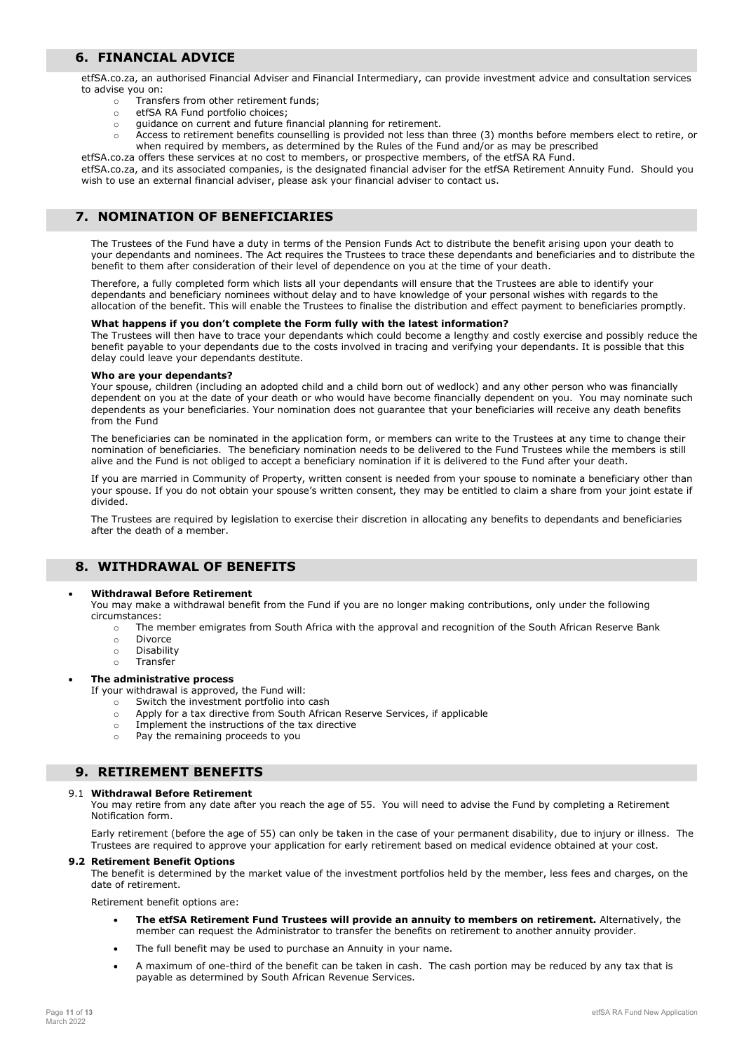### 6. FINANCIAL ADVICE

etfSA.co.za, an authorised Financial Adviser and Financial Intermediary, can provide investment advice and consultation services to advise you on:

- o Transfers from other retirement funds;
- o etfSA RA Fund portfolio choices;
- o guidance on current and future financial planning for retirement.
- o Access to retirement benefits counselling is provided not less than three (3) months before members elect to retire, or when required by members, as determined by the Rules of the Fund and/or as may be prescribed

etfSA.co.za offers these services at no cost to members, or prospective members, of the etfSA RA Fund. etfSA.co.za, and its associated companies, is the designated financial adviser for the etfSA Retirement Annuity Fund. Should you wish to use an external financial adviser, please ask your financial adviser to contact us.

# 7. NOMINATION OF BENEFICIARIES

The Trustees of the Fund have a duty in terms of the Pension Funds Act to distribute the benefit arising upon your death to your dependants and nominees. The Act requires the Trustees to trace these dependants and beneficiaries and to distribute the benefit to them after consideration of their level of dependence on you at the time of your death.

Therefore, a fully completed form which lists all your dependants will ensure that the Trustees are able to identify your dependants and beneficiary nominees without delay and to have knowledge of your personal wishes with regards to the allocation of the benefit. This will enable the Trustees to finalise the distribution and effect payment to beneficiaries promptly.

#### What happens if you don't complete the Form fully with the latest information?

The Trustees will then have to trace your dependants which could become a lengthy and costly exercise and possibly reduce the benefit payable to your dependants due to the costs involved in tracing and verifying your dependants. It is possible that this delay could leave your dependants destitute.

### Who are your dependants?

Your spouse, children (including an adopted child and a child born out of wedlock) and any other person who was financially dependent on you at the date of your death or who would have become financially dependent on you. You may nominate such dependents as your beneficiaries. Your nomination does not guarantee that your beneficiaries will receive any death benefits from the Fund

The beneficiaries can be nominated in the application form, or members can write to the Trustees at any time to change their nomination of beneficiaries. The beneficiary nomination needs to be delivered to the Fund Trustees while the members is still alive and the Fund is not obliged to accept a beneficiary nomination if it is delivered to the Fund after your death.

If you are married in Community of Property, written consent is needed from your spouse to nominate a beneficiary other than your spouse. If you do not obtain your spouse's written consent, they may be entitled to claim a share from your joint estate if divided.

The Trustees are required by legislation to exercise their discretion in allocating any benefits to dependants and beneficiaries after the death of a member.

# 8. WITHDRAWAL OF BENEFITS

### Withdrawal Before Retirement

You may make a withdrawal benefit from the Fund if you are no longer making contributions, only under the following circumstances:

- o The member emigrates from South Africa with the approval and recognition of the South African Reserve Bank
- o Divorce
- o Disability
- o Transfer

#### The administrative process

- If your withdrawal is approved, the Fund will:
	- o Switch the investment portfolio into cash
	- o Apply for a tax directive from South African Reserve Services, if applicable
	- o Implement the instructions of the tax directive
	- o Pay the remaining proceeds to you

### 9. RETIREMENT BENEFITS

#### 9.1 Withdrawal Before Retirement

You may retire from any date after you reach the age of 55. You will need to advise the Fund by completing a Retirement Notification form.

Early retirement (before the age of 55) can only be taken in the case of your permanent disability, due to injury or illness. The Trustees are required to approve your application for early retirement based on medical evidence obtained at your cost.

#### 9.2 Retirement Benefit Options

The benefit is determined by the market value of the investment portfolios held by the member, less fees and charges, on the date of retirement.

Retirement benefit options are:

- The etfSA Retirement Fund Trustees will provide an annuity to members on retirement. Alternatively, the member can request the Administrator to transfer the benefits on retirement to another annuity provider.
- The full benefit may be used to purchase an Annuity in your name.
- A maximum of one-third of the benefit can be taken in cash. The cash portion may be reduced by any tax that is payable as determined by South African Revenue Services.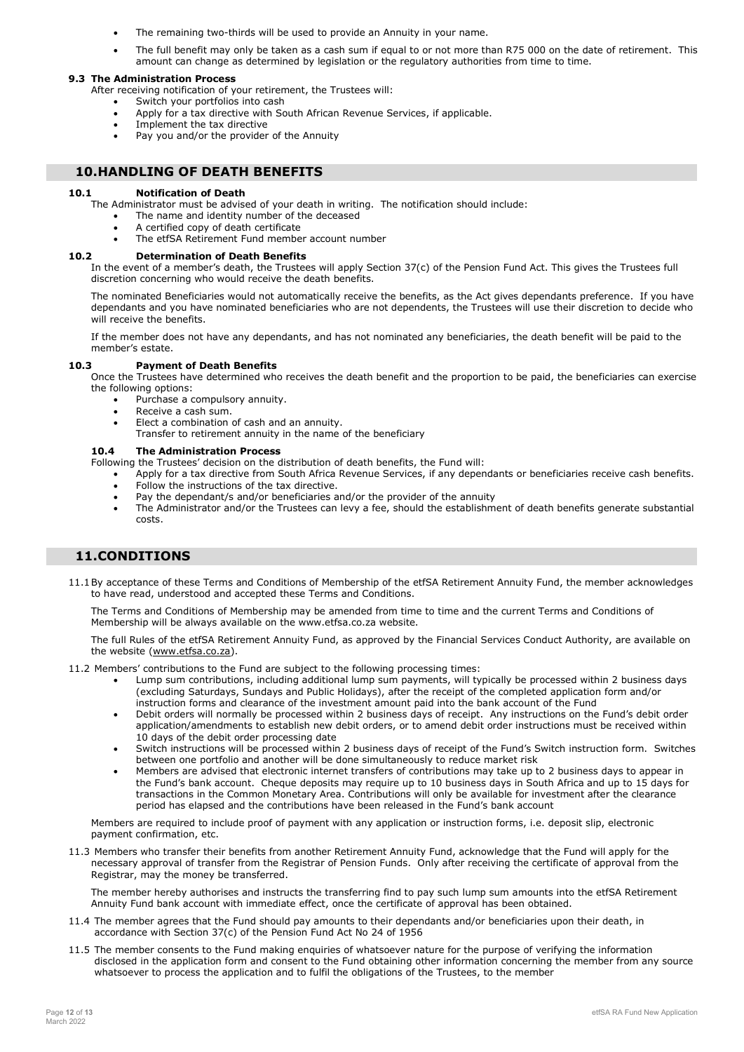- The remaining two-thirds will be used to provide an Annuity in your name.
- The full benefit may only be taken as a cash sum if equal to or not more than R75 000 on the date of retirement. This amount can change as determined by legislation or the regulatory authorities from time to time.

#### 9.3 The Administration Process

After receiving notification of your retirement, the Trustees will:

- Switch your portfolios into cash
- Apply for a tax directive with South African Revenue Services, if applicable.
- Implement the tax directive
- Pay you and/or the provider of the Annuity

### 10.HANDLING OF DEATH BENEFITS

#### 10.1 Notification of Death

The Administrator must be advised of your death in writing. The notification should include:

- The name and identity number of the deceased
- A certified copy of death certificate
- The etfSA Retirement Fund member account number

### 10.2 Determination of Death Benefits

In the event of a member's death, the Trustees will apply Section 37(c) of the Pension Fund Act. This gives the Trustees full discretion concerning who would receive the death benefits.

The nominated Beneficiaries would not automatically receive the benefits, as the Act gives dependants preference. If you have dependants and you have nominated beneficiaries who are not dependents, the Trustees will use their discretion to decide who will receive the benefits.

If the member does not have any dependants, and has not nominated any beneficiaries, the death benefit will be paid to the member's estate.

#### 10.3 Payment of Death Benefits

Once the Trustees have determined who receives the death benefit and the proportion to be paid, the beneficiaries can exercise the following options:

- Purchase a compulsory annuity.
- Receive a cash sum.
- Elect a combination of cash and an annuity.
- Transfer to retirement annuity in the name of the beneficiary

#### 10.4 The Administration Process

Following the Trustees' decision on the distribution of death benefits, the Fund will:

- Apply for a tax directive from South Africa Revenue Services, if any dependants or beneficiaries receive cash benefits.
- Follow the instructions of the tax directive.
- Pay the dependant/s and/or beneficiaries and/or the provider of the annuity
- The Administrator and/or the Trustees can levy a fee, should the establishment of death benefits generate substantial costs.

## 11.CONDITIONS

11.1By acceptance of these Terms and Conditions of Membership of the etfSA Retirement Annuity Fund, the member acknowledges to have read, understood and accepted these Terms and Conditions.

The Terms and Conditions of Membership may be amended from time to time and the current Terms and Conditions of Membership will be always available on the www.etfsa.co.za website.

The full Rules of the etfSA Retirement Annuity Fund, as approved by the Financial Services Conduct Authority, are available on the website (www.etfsa.co.za).

11.2 Members' contributions to the Fund are subject to the following processing times:

- Lump sum contributions, including additional lump sum payments, will typically be processed within 2 business days (excluding Saturdays, Sundays and Public Holidays), after the receipt of the completed application form and/or instruction forms and clearance of the investment amount paid into the bank account of the Fund
- Debit orders will normally be processed within 2 business days of receipt. Any instructions on the Fund's debit order application/amendments to establish new debit orders, or to amend debit order instructions must be received within 10 days of the debit order processing date
- Switch instructions will be processed within 2 business days of receipt of the Fund's Switch instruction form. Switches between one portfolio and another will be done simultaneously to reduce market risk
- Members are advised that electronic internet transfers of contributions may take up to 2 business days to appear in the Fund's bank account. Cheque deposits may require up to 10 business days in South Africa and up to 15 days for transactions in the Common Monetary Area. Contributions will only be available for investment after the clearance period has elapsed and the contributions have been released in the Fund's bank account

Members are required to include proof of payment with any application or instruction forms, i.e. deposit slip, electronic payment confirmation, etc.

11.3 Members who transfer their benefits from another Retirement Annuity Fund, acknowledge that the Fund will apply for the necessary approval of transfer from the Registrar of Pension Funds. Only after receiving the certificate of approval from the Registrar, may the money be transferred.

The member hereby authorises and instructs the transferring find to pay such lump sum amounts into the etfSA Retirement Annuity Fund bank account with immediate effect, once the certificate of approval has been obtained.

- 11.4 The member agrees that the Fund should pay amounts to their dependants and/or beneficiaries upon their death, in accordance with Section 37(c) of the Pension Fund Act No 24 of 1956
- 11.5 The member consents to the Fund making enquiries of whatsoever nature for the purpose of verifying the information disclosed in the application form and consent to the Fund obtaining other information concerning the member from any source whatsoever to process the application and to fulfil the obligations of the Trustees, to the member